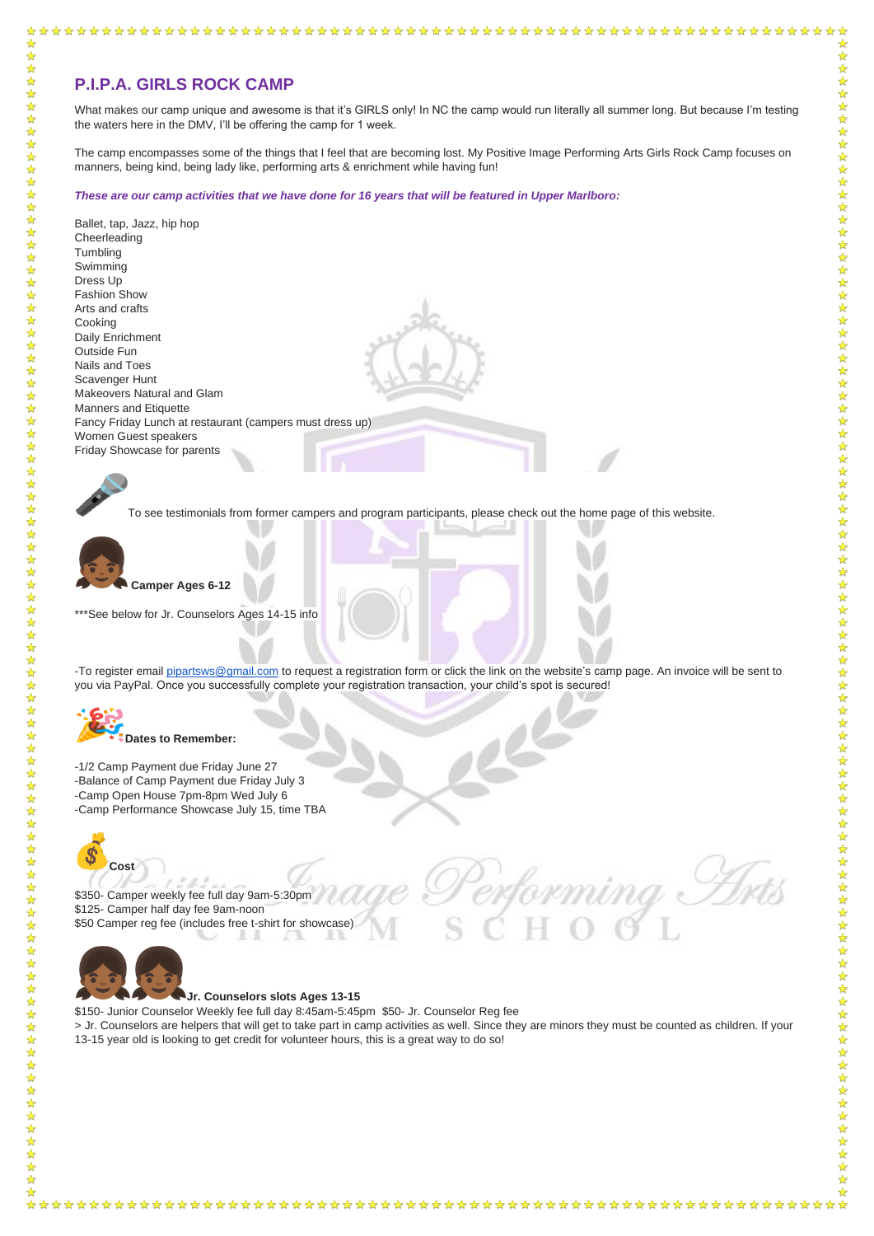社科学校科

 $\frac{1}{2}$  $\frac{1}{2}$  $\frac{1}{2}$  $\frac{1}{2}$  $\frac{1}{\sqrt{2}}$  $\frac{1}{2}$  What makes our camp unique and awesome is that it's GIRLS only! In NC the camp would run literally all summer long. But because I'm testing the waters here in the DMV, I'll be offering the camp for 1 week.

The camp encompasses some of the things that I feel that are becoming lost. My Positive Image Performing Arts Girls Rock Camp focuses on manners, being kind, being lady like, performing arts & enrichment while having fun!

*These are our camp activities that we have done for 16 years that will be featured in Upper Marlboro:*

-To register email [pipartsws@gmail.com](mailto:pipartsws@gmail.com) to request a registration form or click the link on the website's camp page. An invoice will be sent to you via PayPal. Once you successfully complete your registration transaction, your child's spot is secured!



Ballet, tap, Jazz, hip hop **Cheerleading Tumbling** Swimming Dress Up Fashion Show Arts and crafts Cooking Daily Enrichment Outside Fun Nails and Toes Scavenger Hunt Makeovers Natural and Glam Manners and Etiquette Fancy Friday Lunch at restaurant (campers must dress up) Women Guest speakers Friday Showcase for parents



To see testimonials from former campers and program participants, please check out the home page of this website.



☆

 $\frac{1}{2}$ 

外外外外外

女女女女女女女女女女女女女女女

☆

**Camper Ages 6-12**

\*\*\*See below for Jr. Counselors Ages 14-15 info

**Dates to Remember:**

-1/2 Camp Payment due Friday June 27 -Balance of Camp Payment due Friday July 3 -Camp Open House 7pm-8pm Wed July 6 -Camp Performance Showcase July 15, time TBA



\$350- Camper weekly fee full day 9am-5:30pm \$125- Camper half day fee 9am-noon \$50 Camper reg fee (includes free t-shirt for showcase)



## **Jr. Counselors slots Ages 13-15**

\$150- Junior Counselor Weekly fee full day 8:45am-5:45pm \$50- Jr. Counselor Reg fee

> Jr. Counselors are helpers that will get to take part in camp activities as well. Since they are minors they must be counted as children. If your 13-15 year old is looking to get credit for volunteer hours, this is a great way to do so!